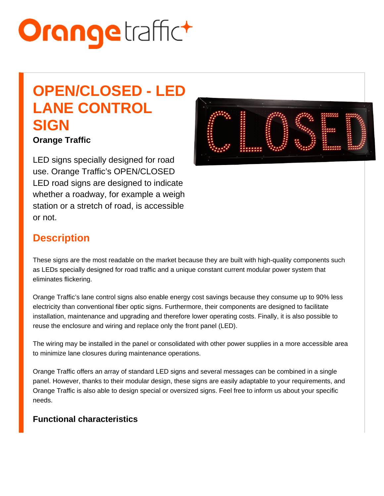# OPEN/CLOSED - LED LANE CONTROL **SIGN**

Orange Traffic

LED signs specially designed for road use. Orange Traffic's OPEN/CLOSED LED road signs are designed to indicate whether a roadway, for example a weigh station or a stretch of road, is accessible or not.

## **Description**

These signs are the most readable on the market because they are built with high-quality components such as LEDs specially designed for road traffic and a unique constant current modular power system that eliminates flickering.

Orange Traffic's lane control signs also enable energy cost savings because they consume up to 90% less electricity than conventional fiber optic signs. Furthermore, their components are designed to facilitate installation, maintenance and upgrading and therefore lower operating costs. Finally, it is also possible to reuse the enclosure and wiring and replace only the front panel (LED).

The wiring may be installed in the panel or consolidated with other power supplies in a more accessible area to minimize lane closures during maintenance operations.

Orange Traffic offers an array of standard LED signs and several messages can be combined in a single panel. However, thanks to their modular design, these signs are easily adaptable to your requirements, and Orange Traffic is also able to design special or oversized signs. Feel free to inform us about your specific needs.

Functional characteristics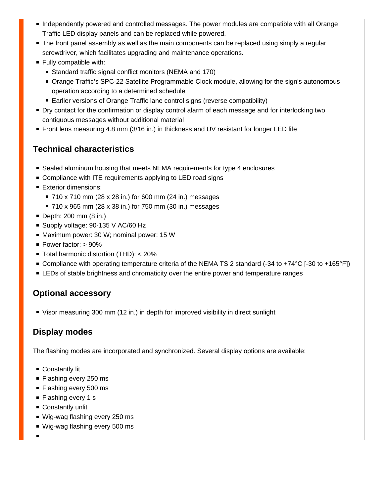- **Independently powered and controlled messages. The power modules are compatible with all Orange** Traffic LED display panels and can be replaced while powered.
- **The front panel assembly as well as the main components can be replaced using simply a regular** screwdriver, which facilitates upgrading and maintenance operations.
- **Fully compatible with:** 
	- Standard traffic signal conflict monitors (NEMA and 170)
	- **Orange Traffic's SPC-22 Satellite Programmable Clock module, allowing for the sign's autonomous** operation according to a determined schedule
	- Earlier versions of Orange Traffic lane control signs (reverse compatibility)
- Dry contact for the confirmation or display control alarm of each message and for interlocking two contiguous messages without additional material
- Front lens measuring 4.8 mm (3/16 in.) in thickness and UV resistant for longer LED life

## **Technical characteristics**

- Sealed aluminum housing that meets NEMA requirements for type 4 enclosures
- Compliance with ITE requirements applying to LED road signs
- **Exterior dimensions:** 
	- 710 x 710 mm (28 x 28 in.) for 600 mm (24 in.) messages
	- 710 x 965 mm (28 x 38 in.) for 750 mm (30 in.) messages
- Depth: 200 mm (8 in.)
- Supply voltage: 90-135 V AC/60 Hz
- Maximum power: 30 W; nominal power: 15 W
- Power factor: > 90%
- Total harmonic distortion (THD): < 20%
- Compliance with operating temperature criteria of the NEMA TS 2 standard (-34 to +74 °C [-30 to +165 °F])
- **EXTEDs of stable brightness and chromaticity over the entire power and temperature ranges**

## **Optional accessory**

Visor measuring 300 mm (12 in.) in depth for improved visibility in direct sunlight

# **Display modes**

The flashing modes are incorporated and synchronized. Several display options are available:

- Constantly lit
- Flashing every 250 ms
- Flashing every 500 ms
- Flashing every 1 s
- Constantly unlit
- Wig-wag flashing every 250 ms
- Wig-wag flashing every 500 ms
-